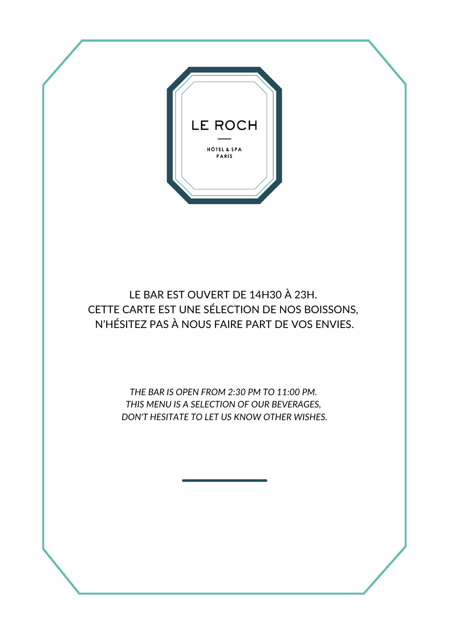

LE BAR EST OUVERT DE 14H30 À 23H. CETTE CARTE EST UNE SÉLECTION DE NOS BOISSONS, N'HÉSITEZ PAS À NOUS FAIRE PART DE VOS ENVIES.

> *THE BAR IS OPEN FROM 2:30 PM TO 11:00 PM. THIS MENU IS A SELECTION OF OUR BEVERAGES, DON'T HESITATE TO LET US KNOW OTHER WISHES.*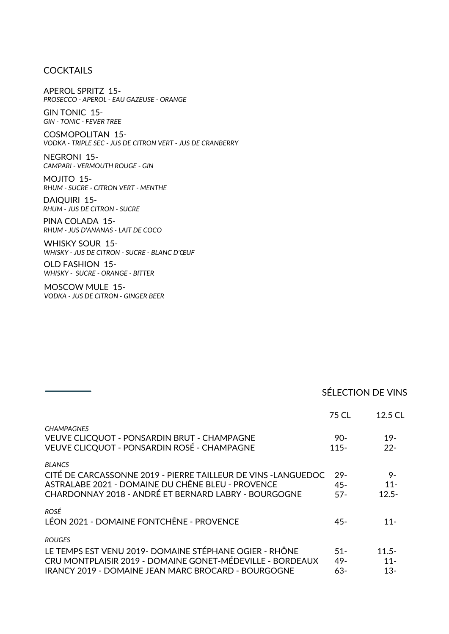# **COCKTAILS**

APEROL SPRITZ 15- *PROSECCO - APEROL - EAU GAZEUSE - ORANGE*

GIN TONIC 15- *GIN - TONIC - FEVER TREE*

COSMOPOLITAN 15- *VODKA - TRIPLE SEC - JUS DE CITRON VERT - JUS DE CRANBERRY*

NEGRONI 15- *CAMPARI - VERMOUTH ROUGE - GIN*

MOJITO 15- *RHUM - SUCRE - CITRON VERT - MENTHE*

DAIQUIRI 15- *RHUM - JUS DE CITRON - SUCRE*

PINA COLADA 15- *RHUM - JUS D'ANANAS - LAIT DE COCO*

WHISKY SOUR 15- *WHISKY - JUS DE CITRON - SUCRE - BLANC D'ŒUF*

OLD FASHION 15- *WHISKY - SUCRE - ORANGE - BITTER*

MOSCOW MULE 15- *VODKA - JUS DE CITRON - GINGER BEER*

# SÉLECTION DE VINS

|                                                                                                                                                                                             | 75 CL                    | 12.5 CL                      |
|---------------------------------------------------------------------------------------------------------------------------------------------------------------------------------------------|--------------------------|------------------------------|
| <b>CHAMPAGNES</b><br>VEUVE CLICQUOT - PONSARDIN BRUT - CHAMPAGNE<br>VEUVE CLICQUOT - PONSARDIN ROSÉ - CHAMPAGNE                                                                             | $90-$<br>$115 -$         | $19-$<br>$22 -$              |
| <b>BLANCS</b><br>CITÉ DE CARCASSONNE 2019 - PIERRE TAILLEUR DE VINS -LANGUEDOC<br>ASTRALABE 2021 - DOMAINE DU CHÊNE BLEU - PROVENCE<br>CHARDONNAY 2018 - ANDRÉ ET BERNARD LABRY - BOURGOGNE | $29-$<br>$45 -$<br>$57-$ | 9-<br>$11 -$<br>$12.5 -$     |
| ROSÉ<br>LÉON 2021 - DOMAINE FONTCHÊNE - PROVENCE                                                                                                                                            | $45 -$                   | $11 -$                       |
| <b>ROUGES</b><br>LE TEMPS EST VENU 2019- DOMAINE STÉPHANE OGIER - RHÔNE<br>CRU MONTPLAISIR 2019 - DOMAINE GONET-MÉDEVILLE - BORDEAUX<br>IRANCY 2019 - DOMAINE JEAN MARC BROCARD - BOURGOGNE | $51 -$<br>$49 -$<br>63-  | $11.5 -$<br>$11 -$<br>$13 -$ |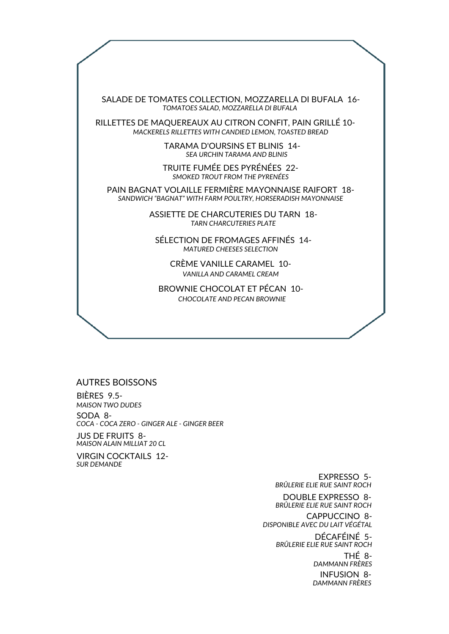SALADE DE TOMATES COLLECTION, MOZZARELLA DI BUFALA 16- *TOMATOES SALAD, MOZZARELLA DI BUFALA*

RILLETTES DE MAQUEREAUX AU CITRON CONFIT, PAIN GRILLÉ 10- *MACKERELS RILLETTES WITH CANDIED LEMON, TOASTED BREAD*

> TARAMA D'OURSINS ET BLINIS 14- *SEA URCHIN TARAMA AND BLINIS*

TRUITE FUMÉE DES PYRÉNÉES 22- *SMOKED TROUT FROM THE PYRENÉES*

PAIN BAGNAT VOLAILLE FERMIÈRE MAYONNAISE RAIFORT 18- *SANDWICH "BAGNAT" WITH FARM POULTRY, HORSERADISH MAYONNAISE*

> ASSIETTE DE CHARCUTERIES DU TARN 18- *TARN CHARCUTERIES PLATE*

SÉLECTION DE FROMAGES AFFINÉS 14- *MATURED CHEESES SELECTION*

CRÈME VANILLE CARAMEL 10- *VANILLA AND CARAMEL CREAM*

BROWNIE CHOCOLAT ET PÉCAN 10- *CHOCOLATE AND PECAN BROWNIE*

#### AUTRES BOISSONS

SODA 8- BIÈRES 9.5- *MAISON TWO DUDES COCA - COCA ZERO - GINGER ALE - GINGER BEER*

JUS DE FRUITS 8- *MAISON ALAIN MILLIAT 20 CL*

VIRGIN COCKTAILS 12- *SUR DEMANDE*

> EXPRESSO 5- *BRÛLERIE ELIE RUE SAINT ROCH*

DOUBLE EXPRESSO 8- CAPPUCCINO 8- *BRÛLERIE ELIE RUE SAINT ROCH*

*DISPONIBLE AVEC DU LAIT VÉGÉTAL*

DÉCAFÉINÉ 5- THÉ 8- INFUSION 8- *BRÛLERIE ELIE RUE SAINT ROCH DAMMANN FRÈRES DAMMANN FRÈRES*